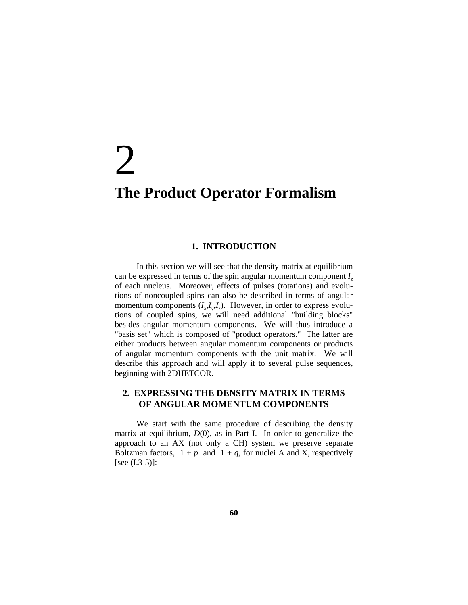# 2 **The Product Operator Formalism**

#### **1. INTRODUCTION**

 In this section we will see that the density matrix at equilibrium can be expressed in terms of the spin angular momentum component *Iz* of each nucleus. Moreover, effects of pulses (rotations) and evolutions of noncoupled spins can also be described in terms of angular momentum components  $(I_x, I_y, I_z)$ . However, in order to express evolutions of coupled spins, we will need additional "building blocks" besides angular momentum components. We will thus introduce a "basis set" which is composed of "product operators." The latter are either products between angular momentum components or products of angular momentum components with the unit matrix. We will describe this approach and will apply it to several pulse sequences, beginning with 2DHETCOR.

## **2. EXPRESSING THE DENSITY MATRIX IN TERMS OF ANGULAR MOMENTUM COMPONENTS**

 We start with the same procedure of describing the density matrix at equilibrium, *D*(0), as in Part I. In order to generalize the approach to an AX (not only a CH) system we preserve separate Boltzman factors,  $1 + p$  and  $1 + q$ , for nuclei A and X, respectively  $[see (I.3-5)]$ :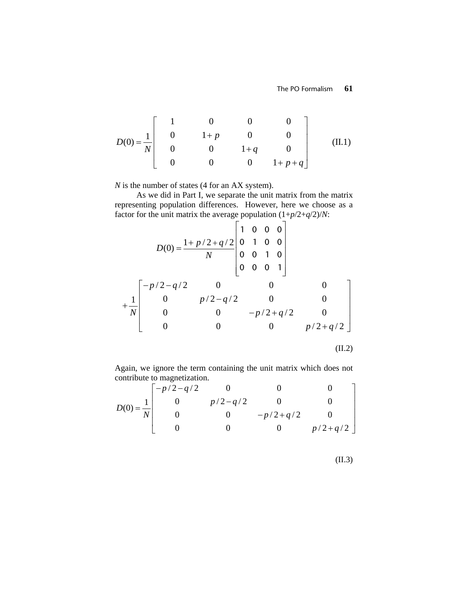$$
D(0) = \frac{1}{N} \begin{bmatrix} 1 & 0 & 0 & 0 \\ 0 & 1+p & 0 & 0 \\ 0 & 0 & 1+q & 0 \\ 0 & 0 & 0 & 1+p+q \end{bmatrix}
$$
 (II.1)

*N* is the number of states (4 for an AX system).

As we did in Part I, we separate the unit matrix from the matrix representing population differences. However, here we choose as a factor for the unit matrix the average population  $(1+p/2+q/2)/N$ :

$$
D(0) = \frac{1 + p/2 + q/2}{N} \begin{bmatrix} 1 & 0 & 0 & 0 \\ 0 & 1 & 0 & 0 \\ 0 & 0 & 1 & 0 \\ 0 & 0 & 0 & 1 \end{bmatrix}
$$
  
+ 
$$
\frac{1}{N} \begin{bmatrix} -p/2 - q/2 & 0 & 0 & 0 \\ 0 & p/2 - q/2 & 0 & 0 \\ 0 & 0 & -p/2 + q/2 & 0 \\ 0 & 0 & 0 & p/2 + q/2 \end{bmatrix}
$$
  
(II.2)

Again, we ignore the term containing the unit matrix which does not contribute to magnetization.

$$
D(0) = \frac{1}{N} \begin{bmatrix} -p/2 - q/2 & 0 & 0 & 0\\ 0 & p/2 - q/2 & 0 & 0\\ 0 & 0 & -p/2 + q/2 & 0\\ 0 & 0 & 0 & p/2 + q/2 \end{bmatrix}
$$

(II.3)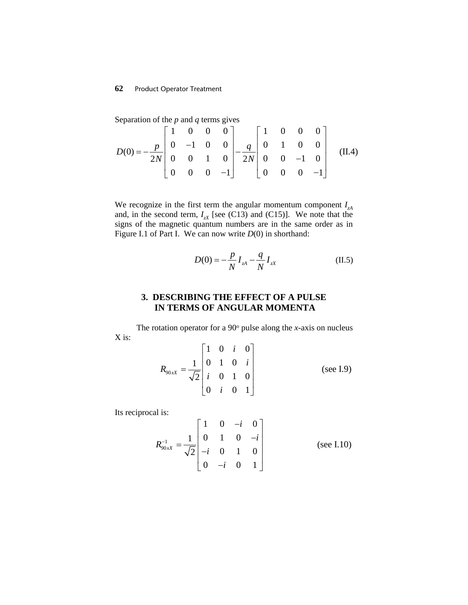### **62** Product Operator Treatment

Separation of the *p* and *q* terms gives

$$
D(0) = -\frac{p}{2N} \begin{bmatrix} 1 & 0 & 0 & 0 \ 0 & -1 & 0 & 0 \ 0 & 0 & 1 & 0 \ 0 & 0 & 0 & -1 \end{bmatrix} - \frac{q}{2N} \begin{bmatrix} 1 & 0 & 0 & 0 \ 0 & 1 & 0 & 0 \ 0 & 0 & -1 & 0 \ 0 & 0 & 0 & -1 \end{bmatrix}
$$
 (II.4)

We recognize in the first term the angular momentum component *IzA* and, in the second term,  $I_{zX}$  [see (C13) and (C15)]. We note that the signs of the magnetic quantum numbers are in the same order as in Figure I.1 of Part I. We can now write *D*(0) in shorthand:

$$
D(0) = -\frac{p}{N} I_{zA} - \frac{q}{N} I_{zX}
$$
 (II.5)

# **3. DESCRIBING THE EFFECT OF A PULSE IN TERMS OF ANGULAR MOMENTA**

The rotation operator for a  $90^\circ$  pulse along the *x*-axis on nucleus X is:

$$
R_{90xX} = \frac{1}{\sqrt{2}} \begin{bmatrix} 1 & 0 & i & 0 \\ 0 & 1 & 0 & i \\ i & 0 & 1 & 0 \\ 0 & i & 0 & 1 \end{bmatrix}
$$
 (see I.9)

Its reciprocal is:

$$
R_{90x}^{-1} = \frac{1}{\sqrt{2}} \begin{bmatrix} 1 & 0 & -i & 0 \\ 0 & 1 & 0 & -i \\ -i & 0 & 1 & 0 \\ 0 & -i & 0 & 1 \end{bmatrix}
$$
 (see I.10)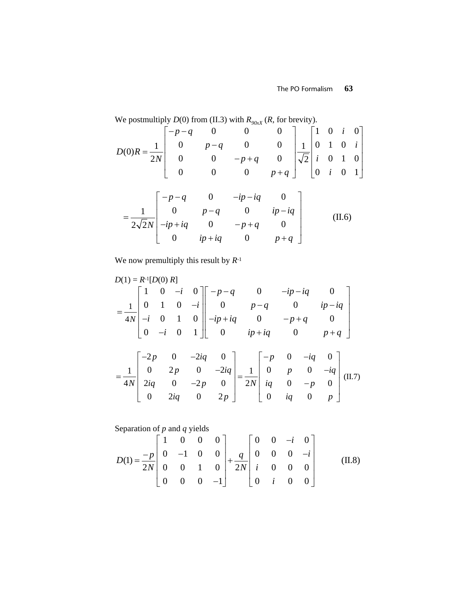We postmultiply *D*(0) from (II.3) with  $R_{90xX}$  (*R*, for brevity).

$$
D(0)R = \frac{1}{2N} \begin{bmatrix} -p-q & 0 & 0 & 0 \ 0 & p-q & 0 & 0 \ 0 & 0 & -p+q & 0 \ 0 & 0 & 0 & p+q \end{bmatrix} \frac{1}{\sqrt{2}} \begin{bmatrix} 1 & 0 & i & 0 \ 0 & 1 & 0 & i \ i & 0 & 1 & 0 \ 0 & i & 0 & 1 \end{bmatrix}
$$

$$
= \frac{1}{2\sqrt{2}N} \begin{bmatrix} -p-q & 0 & -ip-iq & 0 \ 0 & p-q & 0 & ip-iq \ -ip+iq & 0 & -p+q & 0 \ 0 & ip+iq & 0 & p+q \end{bmatrix}
$$
(II.6)

We now premultiply this result by *R*-1

$$
D(1) = R^{-1}[D(0) R]
$$
  
=  $\frac{1}{4N} \begin{bmatrix} 1 & 0 & -i & 0 \\ 0 & 1 & 0 & -i \\ -i & 0 & 1 & 0 \\ 0 & -i & 0 & 1 \end{bmatrix} \begin{bmatrix} -p-q & 0 & -ip-iq & 0 \\ 0 & p-q & 0 & ip-iq \\ -ip+iq & 0 & -p+q & 0 \\ 0 & ip+iq & 0 & p+q \end{bmatrix}$   
=  $\frac{1}{4N} \begin{bmatrix} -2p & 0 & -2iq & 0 \\ 0 & 2p & 0 & -2iq \\ 2iq & 0 & -2p & 0 \\ 0 & 2iq & 0 & 2p \end{bmatrix} = \frac{1}{2N} \begin{bmatrix} -p & 0 & -iq & 0 \\ 0 & p & 0 & -iq \\ iq & 0 & -p & 0 \\ 0 & iq & 0 & p \end{bmatrix}$ (II.7)

Separation of *p* and *q* yields

$$
D(1) = \frac{-p}{2N} \begin{bmatrix} 1 & 0 & 0 & 0 \\ 0 & -1 & 0 & 0 \\ 0 & 0 & 1 & 0 \\ 0 & 0 & 0 & -1 \end{bmatrix} + \frac{q}{2N} \begin{bmatrix} 0 & 0 & -i & 0 \\ 0 & 0 & 0 & -i \\ i & 0 & 0 & 0 \\ 0 & i & 0 & 0 \end{bmatrix}
$$
 (II.8)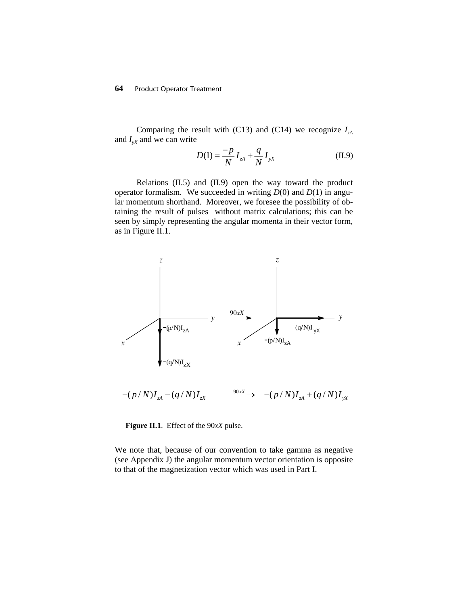Comparing the result with (C13) and (C14) we recognize  $I_{A}$ and  $I_{vX}$  and we can write

$$
D(1) = \frac{-p}{N} I_{zA} + \frac{q}{N} I_{yx}
$$
 (II.9)

Relations (II.5) and (II.9) open the way toward the product operator formalism. We succeeded in writing *D*(0) and *D*(1) in angular momentum shorthand. Moreover, we foresee the possibility of obtaining the result of pulses without matrix calculations; this can be seen by simply representing the angular momenta in their vector form, as in Figure II.1.



**Figure II.1**. Effect of the 90*xX* pulse.

We note that, because of our convention to take gamma as negative (see Appendix J) the angular momentum vector orientation is opposite to that of the magnetization vector which was used in Part I.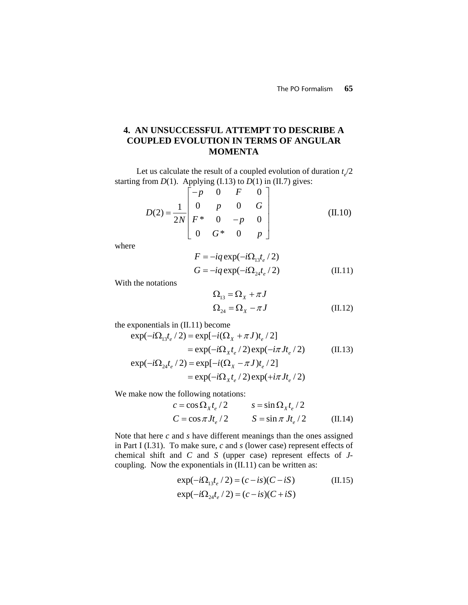# **4. AN UNSUCCESSFUL ATTEMPT TO DESCRIBE A COUPLED EVOLUTION IN TERMS OF ANGULAR MOMENTA**

Let us calculate the result of a coupled evolution of duration  $t/2$ starting from  $D(1)$ . Applying (I.13) to  $D(1)$  in (II.7) gives:

$$
D(2) = \frac{1}{2N} \begin{bmatrix} -p & 0 & F & 0 \\ 0 & p & 0 & G \\ F^* & 0 & -p & 0 \\ 0 & G^* & 0 & p \end{bmatrix}
$$
 (II.10)

where

$$
F = -iq \exp(-i\Omega_{13}t_e/2)
$$
  
\n
$$
G = -iq \exp(-i\Omega_{24}t_e/2)
$$
 (II.11)

With the notations

$$
\Omega_{13} = \Omega_X + \pi J
$$
  
\n
$$
\Omega_{24} = \Omega_X - \pi J
$$
 (II.12)

the exponentials in (II.11) become

$$
\exp(-i\Omega_{13}t_e/2) = \exp[-i(\Omega_X + \pi J)t_e/2]
$$
  
\n
$$
= \exp(-i\Omega_X t_e/2) \exp(-i\pi Jt_e/2)
$$
(II.13)  
\n
$$
\exp(-i\Omega_{24}t_e/2) = \exp[-i(\Omega_X - \pi J)t_e/2]
$$
  
\n
$$
= \exp(-i\Omega_X t_e/2) \exp(+i\pi Jt_e/2)
$$

We make now the following notations:

$$
c = \cos \Omega_x t_e / 2 \qquad s = \sin \Omega_x t_e / 2
$$
  

$$
C = \cos \pi J t_e / 2 \qquad S = \sin \pi J t_e / 2 \qquad (II.14)
$$

Note that here *c* and *s* have different meanings than the ones assigned in Part I (I.31). To make sure, *c* and *s* (lower case) represent effects of chemical shift and *C* and *S* (upper case) represent effects of *J*coupling. Now the exponentials in (II.11) can be written as:

$$
\exp(-i\Omega_{13}t_e/2) = (c - is)(C - iS)
$$
\n
$$
\exp(-i\Omega_{24}t_e/2) = (c - is)(C + iS)
$$
\n(II.15)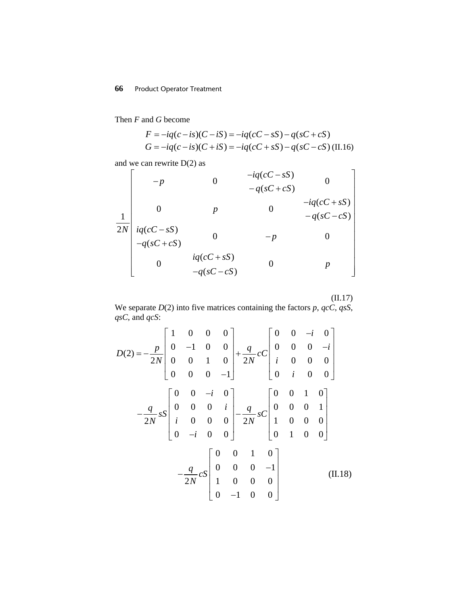## **66** Product Operator Treatment

Then *F* and *G* become

$$
F = -iq(c - is)(C - iS) = -iq(cC - sS) - q(sC + cS)
$$
  
\n
$$
G = -iq(c - is)(C + iS) = -iq(cC + sS) - q(sC - cS)
$$
(II.16)

and we can rewrite D(2) as

$$
\begin{bmatrix}\n-p & 0 & -iq(cC - sS) & 0 \\
-p & 0 & -q(sC + cS) & 0 \\
0 & p & 0 & -iq(cC + sS) \\
iq(cC - sS) & 0 & -p & 0 \\
-q(sC + cS) & iq(cC + sS) & 0 & p\n\end{bmatrix}
$$

(II.17)

We separate  $D(2)$  into five matrices containing the factors  $p$ ,  $qcC$ ,  $qsS$ , *qsC*, and *qcS*:

$$
D(2) = -\frac{p}{2N} \begin{bmatrix} 1 & 0 & 0 & 0 \\ 0 & -1 & 0 & 0 \\ 0 & 0 & 1 & 0 \\ 0 & 0 & 0 & -1 \end{bmatrix} + \frac{q}{2N} cC \begin{bmatrix} 0 & 0 & -i & 0 \\ 0 & 0 & 0 & -i \\ i & 0 & 0 & 0 \\ 0 & i & 0 & 0 \end{bmatrix}
$$

$$
-\frac{q}{2N} sS \begin{bmatrix} 0 & 0 & -i & 0 \\ 0 & 0 & 0 & i \\ i & 0 & 0 & 0 \\ 0 & -i & 0 & 0 \end{bmatrix} - \frac{q}{2N} sC \begin{bmatrix} 0 & 0 & 1 & 0 \\ 0 & 0 & 0 & 1 \\ 1 & 0 & 0 & 0 \\ 0 & 1 & 0 & 0 \end{bmatrix}
$$

$$
-\frac{q}{2N} cS \begin{bmatrix} 0 & 0 & 1 & 0 \\ 0 & 0 & 0 & -1 \\ 1 & 0 & 0 & 0 \\ 0 & -1 & 0 & 0 \end{bmatrix}
$$
(II.18)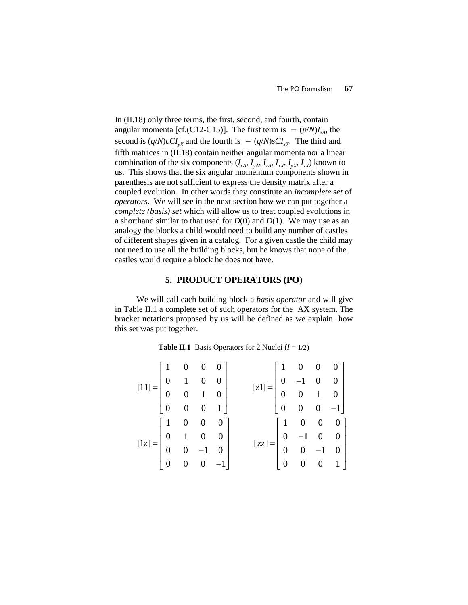In (II.18) only three terms, the first, second, and fourth, contain angular momenta [cf.(C12-C15)]. The first term is  $-(p/N)I_{\tau A}$ , the second is  $(q/N)cC I_{vx}$  and the fourth is  $-(q/N)sC I_{rx}$ . The third and fifth matrices in (II.18) contain neither angular momenta nor a linear combination of the six components  $(I_{xA}, I_{xA}, I_{xA}, I_{xx}, I_{yx}, I_{zx})$  known to us. This shows that the six angular momentum components shown in parenthesis are not sufficient to express the density matrix after a coupled evolution. In other words they constitute an *incomplete set* of *operators*. We will see in the next section how we can put together a *complete (basis) set* which will allow us to treat coupled evolutions in a shorthand similar to that used for  $D(0)$  and  $D(1)$ . We may use as an analogy the blocks a child would need to build any number of castles of different shapes given in a catalog. For a given castle the child may not need to use all the building blocks, but he knows that none of the castles would require a block he does not have.

#### **5. PRODUCT OPERATORS (PO)**

We will call each building block a *basis operator* and will give in Table II.1 a complete set of such operators for the AX system. The bracket notations proposed by us will be defined as we explain how this set was put together.

| <b>Table II.1</b> Basis Operators for 2 Nuclei $(I = 1/2)$ |  |  |  |  |  |  |
|------------------------------------------------------------|--|--|--|--|--|--|
|------------------------------------------------------------|--|--|--|--|--|--|

| $[11] = \left[ \begin{array}{cccc} 1 & 0 & 0 & 0 \\ 0 & 1 & 0 & 0 \\ 0 & 0 & 1 & 0 \\ 0 & 0 & 0 & 1 \end{array} \right]$ |  |  |                                                                                                                        |  |  |
|--------------------------------------------------------------------------------------------------------------------------|--|--|------------------------------------------------------------------------------------------------------------------------|--|--|
|                                                                                                                          |  |  | $[z1]=\left[\begin{array}{cccc} 1 & 0 & 0 & 0 \\ 0 & -1 & 0 & 0 \\ 0 & 0 & 1 & 0 \\ 0 & 0 & 0 & -1 \end{array}\right]$ |  |  |
|                                                                                                                          |  |  |                                                                                                                        |  |  |
|                                                                                                                          |  |  |                                                                                                                        |  |  |
| $[1z]=\left[\begin{array}{cccc} 1 & 0 & 0 & 0 \\ 0 & 1 & 0 & 0 \\ 0 & 0 & -1 & 0 \\ 0 & 0 & 0 & -1 \end{array}\right]$   |  |  |                                                                                                                        |  |  |
|                                                                                                                          |  |  | $[zz] = \begin{bmatrix} 1 & 0 & 0 & 0 \\ 0 & -1 & 0 & 0 \\ 0 & 0 & -1 & 0 \\ 0 & 0 & 0 & 1 \end{bmatrix}$              |  |  |
|                                                                                                                          |  |  |                                                                                                                        |  |  |
|                                                                                                                          |  |  |                                                                                                                        |  |  |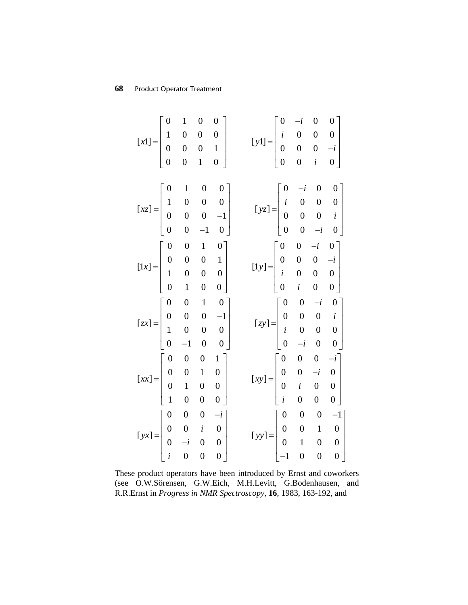| $[x1] = \begin{vmatrix} 0 & 1 & 0 & 0 & 0 \\ 1 & 0 & 0 & 0 & 1 \\ 0 & 0 & 0 & 1 & 0 \end{vmatrix}$                                    | $\mathbf{1}$ | $\boldsymbol{0}$ | $\bf{0}$         |                                      |  |                                                                                                                    |  |                                                                                                           |
|---------------------------------------------------------------------------------------------------------------------------------------|--------------|------------------|------------------|--------------------------------------|--|--------------------------------------------------------------------------------------------------------------------|--|-----------------------------------------------------------------------------------------------------------|
|                                                                                                                                       |              |                  |                  |                                      |  | $[\mathbf{y}1] = \begin{bmatrix} 0 & -i & 0 & 0 \\ i & 0 & 0 & 0 \\ 0 & 0 & 0 & -i \\ 0 & 0 & i & 0 \end{bmatrix}$ |  |                                                                                                           |
|                                                                                                                                       |              |                  |                  |                                      |  |                                                                                                                    |  |                                                                                                           |
|                                                                                                                                       |              |                  |                  |                                      |  |                                                                                                                    |  |                                                                                                           |
|                                                                                                                                       |              |                  |                  |                                      |  |                                                                                                                    |  |                                                                                                           |
|                                                                                                                                       |              | $\mathbf{1}$     | $\boldsymbol{0}$ | $\overline{\mathbf{0}}$              |  |                                                                                                                    |  |                                                                                                           |
| $[xz] = \begin{vmatrix} 0 & 1 & 0 & 0 & 0 \\ 1 & 0 & 0 & 0 & -1 \\ 0 & 0 & 0 & -1 & 0 \end{vmatrix}$                                  |              |                  |                  |                                      |  |                                                                                                                    |  |                                                                                                           |
|                                                                                                                                       |              |                  |                  |                                      |  |                                                                                                                    |  |                                                                                                           |
|                                                                                                                                       |              |                  |                  |                                      |  |                                                                                                                    |  | $[yz] = \begin{bmatrix} 0 & -i & 0 & 0 \\ i & 0 & 0 & 0 \\ 0 & 0 & 0 & i \\ 0 & 0 & -i & 0 \end{bmatrix}$ |
| $[1x] = \left[ \begin{array}{cccc} 0 & 0 & 1 & 0 \\ 0 & 0 & 0 & 1 \\ 1 & 0 & 0 & 0 \\ 0 & 1 & 0 & 0 \end{array} \right]$              |              |                  |                  |                                      |  |                                                                                                                    |  |                                                                                                           |
|                                                                                                                                       |              |                  |                  |                                      |  |                                                                                                                    |  |                                                                                                           |
|                                                                                                                                       |              |                  |                  |                                      |  | $[1y] = \begin{bmatrix} 0 & 0 & -i & 0 \\ 0 & 0 & 0 & -i \\ i & 0 & 0 & 0 \\ 0 & i & 0 & 0 \end{bmatrix}$          |  |                                                                                                           |
|                                                                                                                                       |              |                  |                  |                                      |  |                                                                                                                    |  |                                                                                                           |
| $\left[zx\right] = \left[ \begin{array}{cccc} 0 & 0 & 1 & 0 \\ 0 & 0 & 0 & -1 \\ 1 & 0 & 0 & 0 \\ 0 & -1 & 0 & 0 \end{array} \right]$ |              |                  |                  |                                      |  | $[xy] = \begin{bmatrix} 0 & 0 & -i & 0 \\ 0 & 0 & 0 & i \\ i & 0 & 0 & 0 \\ 0 & -i & 0 & 0 \end{bmatrix}$          |  |                                                                                                           |
|                                                                                                                                       |              |                  |                  |                                      |  |                                                                                                                    |  |                                                                                                           |
|                                                                                                                                       |              |                  |                  |                                      |  |                                                                                                                    |  |                                                                                                           |
|                                                                                                                                       |              |                  |                  |                                      |  |                                                                                                                    |  |                                                                                                           |
|                                                                                                                                       |              |                  |                  | $\mathbf{1}$                         |  | $[xy] = \begin{bmatrix} 0 & 0 & 0 & -i \\ 0 & 0 & -i & 0 \\ 0 & i & 0 & 0 \\ i & 0 & 0 & 0 \end{bmatrix}$          |  |                                                                                                           |
|                                                                                                                                       |              |                  |                  |                                      |  |                                                                                                                    |  |                                                                                                           |
|                                                                                                                                       |              |                  |                  | $\begin{matrix} 0 \\ 0 \end{matrix}$ |  |                                                                                                                    |  |                                                                                                           |
| $[xx] = \begin{bmatrix} 0 & 0 & 0 \\ 0 & 0 & 1 \\ 0 & 1 & 0 \\ 1 & 0 & 0 \end{bmatrix}$                                               |              |                  |                  | $\overline{0}$                       |  |                                                                                                                    |  |                                                                                                           |
|                                                                                                                                       |              |                  |                  |                                      |  | $[yy] = \begin{bmatrix} 0 & 0 & 0 & -1 \\ 0 & 0 & 1 & 0 \\ 0 & 1 & 0 & 0 \\ -1 & 0 & 0 & 0 \end{bmatrix}$          |  |                                                                                                           |
|                                                                                                                                       |              |                  |                  |                                      |  |                                                                                                                    |  |                                                                                                           |
|                                                                                                                                       |              |                  |                  |                                      |  |                                                                                                                    |  |                                                                                                           |
| $[yx] = \begin{bmatrix} 0 & 0 & 0 & -i \\ 0 & 0 & i & 0 \\ 0 & -i & 0 & 0 \\ i & 0 & 0 & 0 \end{bmatrix}$                             |              |                  |                  |                                      |  |                                                                                                                    |  |                                                                                                           |

These product operators have been introduced by Ernst and coworkers (see O.W.Sörensen, G.W.Eich, M.H.Levitt, G.Bodenhausen, and R.R.Ernst in *Progress in NMR Spectroscopy*, **16**, 1983, 163-192, and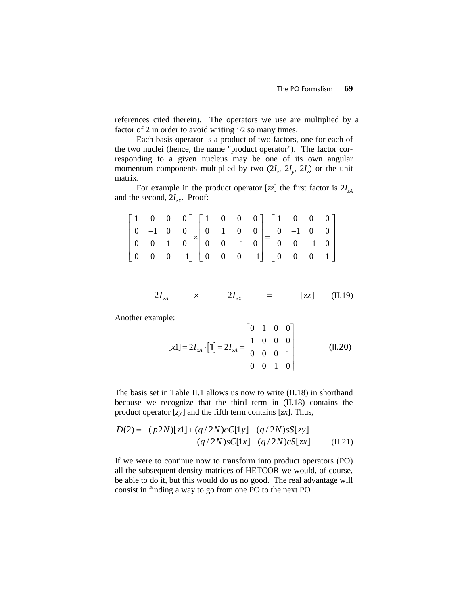references cited therein). The operators we use are multiplied by a factor of 2 in order to avoid writing 1/2 so many times.

Each basis operator is a product of two factors, one for each of the two nuclei (hence, the name "product operator"). The factor corresponding to a given nucleus may be one of its own angular momentum components multiplied by two  $(2I_x, 2I_y, 2I_z)$  or the unit matrix.

For example in the product operator  $[zz]$  the first factor is  $2I<sub>zA</sub>$ and the second,  $2I_{zx}$ . Proof:

|  | $\begin{bmatrix} 1 & 0 & 0 & 0 \\ 0 & -1 & 0 & 0 \\ 0 & 0 & 1 & 0 \\ 0 & 0 & 0 & -1 \end{bmatrix} \times \begin{bmatrix} 1 & 0 & 0 & 0 \\ 0 & 1 & 0 & 0 \\ 0 & 0 & -1 & 0 \\ 0 & 0 & 0 & -1 \end{bmatrix} = \begin{bmatrix} 1 & 0 & 0 & 0 \\ 0 & -1 & 0 & 0 \\ 0 & 0 & -1 & 0 \\ 0 & 0 & 0 & 1 \end{bmatrix}$ |  |  |  |  |  |
|--|---------------------------------------------------------------------------------------------------------------------------------------------------------------------------------------------------------------------------------------------------------------------------------------------------------------|--|--|--|--|--|

$$
2I_{zA} \qquad \times \qquad 2I_{zX} \qquad = \qquad [zz] \qquad (II.19)
$$

Another example:

$$
[x1] = 2I_{xA} \cdot [1] = 2I_{xA} = \begin{bmatrix} 0 & 1 & 0 & 0 \\ 1 & 0 & 0 & 0 \\ 0 & 0 & 0 & 1 \\ 0 & 0 & 1 & 0 \end{bmatrix}
$$
 (II.20)

The basis set in Table II.1 allows us now to write (II.18) in shorthand because we recognize that the third term in (II.18) contains the product operator [*zy*] and the fifth term contains [*zx*]. Thus,

$$
D(2) = -(p2N)[z1] + (q/2N)cC[1y] - (q/2N)sS[zy] - (q/2N)sC[1x] - (q/2N)cS[zx]
$$
 (II.21)

If we were to continue now to transform into product operators (PO) all the subsequent density matrices of HETCOR we would, of course, be able to do it, but this would do us no good. The real advantage will consist in finding a way to go from one PO to the next PO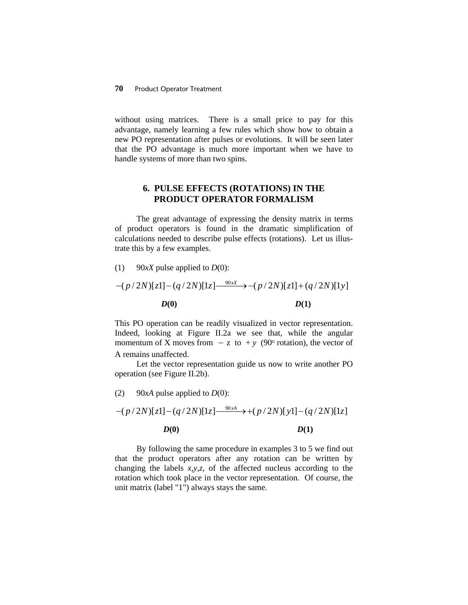without using matrices. There is a small price to pay for this advantage, namely learning a few rules which show how to obtain a new PO representation after pulses or evolutions. It will be seen later that the PO advantage is much more important when we have to handle systems of more than two spins.

## **6. PULSE EFFECTS (ROTATIONS) IN THE PRODUCT OPERATOR FORMALISM**

The great advantage of expressing the density matrix in terms of product operators is found in the dramatic simplification of calculations needed to describe pulse effects (rotations). Let us illustrate this by a few examples.

(1) 90 $xX$  pulse applied to *D*(0):

$$
-(p/2N)[z] - (q/2N)[1z] \xrightarrow{90x} -(p/2N)[z] + (q/2N)[1y]
$$
  

$$
D(0)
$$
 
$$
D(1)
$$

This PO operation can be readily visualized in vector representation. Indeed, looking at Figure II.2a we see that, while the angular momentum of X moves from  $-z$  to  $+y$  (90<sup>o</sup> rotation), the vector of A remains unaffected.

Let the vector representation guide us now to write another PO operation (see Figure II.2b).

(2) 90*xA* pulse applied to  $D(0)$ :

$$
-(p/2N)[z] - (q/2N)[1z] \xrightarrow{90x4} + (p/2N)[y] - (q/2N)[1z]
$$
  

$$
D(0)
$$
 
$$
D(1)
$$

By following the same procedure in examples 3 to 5 we find out that the product operators after any rotation can be written by changing the labels *x,y,z*, of the affected nucleus according to the rotation which took place in the vector representation. Of course, the unit matrix (label "1") always stays the same.